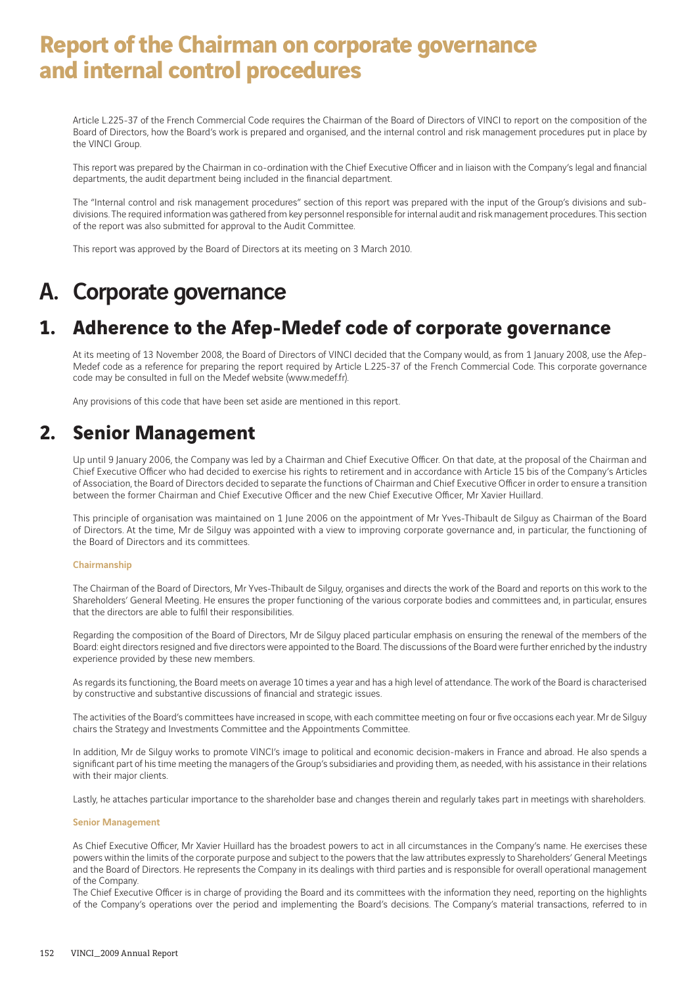# **Report of the Chairman on corporate governance and internal control procedures**

Article L.225-37 of the French Commercial Code requires the Chairman of the Board of Directors of VINCI to report on the composition of the Board of Directors, how the Board's work is prepared and organised, and the internal control and risk management procedures put in place by the VINCI Group.

This report was prepared by the Chairman in co-ordination with the Chief Executive Officer and in liaison with the Company's legal and financial departments, the audit department being included in the financial department.

The "Internal control and risk management procedures" section of this report was prepared with the input of the Group's divisions and subdivisions. The required information was gathered from key personnel responsible for internal audit and risk management procedures. This section of the report was also submitted for approval to the Audit Committee.

This report was approved by the Board of Directors at its meeting on 3 March 2010.

# A. Corporate governance

# **1. Adherence to the Afep-Medef code of corporate governance**

At its meeting of 13 November 2008, the Board of Directors of VINCI decided that the Company would, as from 1 January 2008, use the Afep-Medef code as a reference for preparing the report required by Article L.225-37 of the French Commercial Code. This corporate governance code may be consulted in full on the Medef website (www.medef.fr).

Any provisions of this code that have been set aside are mentioned in this report.

## **2. Senior Management**

Up until 9 January 2006, the Company was led by a Chairman and Chief Executive Officer. On that date, at the proposal of the Chairman and Chief Executive Officer who had decided to exercise his rights to retirement and in accordance with Article 15 bis of the Company's Articles of Association, the Board of Directors decided to separate the functions of Chairman and Chief Executive Officer in order to ensure a transition between the former Chairman and Chief Executive Officer and the new Chief Executive Officer, Mr Xavier Huillard.

This principle of organisation was maintained on 1 June 2006 on the appointment of Mr Yves-Thibault de Silguy as Chairman of the Board of Directors. At the time, Mr de Silguy was appointed with a view to improving corporate governance and, in particular, the functioning of the Board of Directors and its committees.

### Chairmanship

The Chairman of the Board of Directors, Mr Yves-Thibault de Silguy, organises and directs the work of the Board and reports on this work to the Shareholders' General Meeting. He ensures the proper functioning of the various corporate bodies and committees and, in particular, ensures that the directors are able to fulfil their responsibilities.

Regarding the composition of the Board of Directors, Mr de Silguy placed particular emphasis on ensuring the renewal of the members of the Board: eight directors resigned and five directors were appointed to the Board. The discussions of the Board were further enriched by the industry experience provided by these new members.

As regards its functioning, the Board meets on average 10 times a year and has a high level of attendance. The work of the Board is characterised by constructive and substantive discussions of financial and strategic issues.

The activities of the Board's committees have increased in scope, with each committee meeting on four or five occasions each year. Mr de Silguy chairs the Strategy and Investments Committee and the Appointments Committee.

In addition, Mr de Silguy works to promote VINCI's image to political and economic decision-makers in France and abroad. He also spends a significant part of his time meeting the managers of the Group's subsidiaries and providing them, as needed, with his assistance in their relations with their major clients.

Lastly, he attaches particular importance to the shareholder base and changes therein and regularly takes part in meetings with shareholders.

### Senior Management

As Chief Executive Officer, Mr Xavier Huillard has the broadest powers to act in all circumstances in the Company's name. He exercises these powers within the limits of the corporate purpose and subject to the powers that the law attributes expressly to Shareholders' General Meetings and the Board of Directors. He represents the Company in its dealings with third parties and is responsible for overall operational management of the Company.

The Chief Executive Officer is in charge of providing the Board and its committees with the information they need, reporting on the highlights of the Company's operations over the period and implementing the Board's decisions. The Company's material transactions, referred to in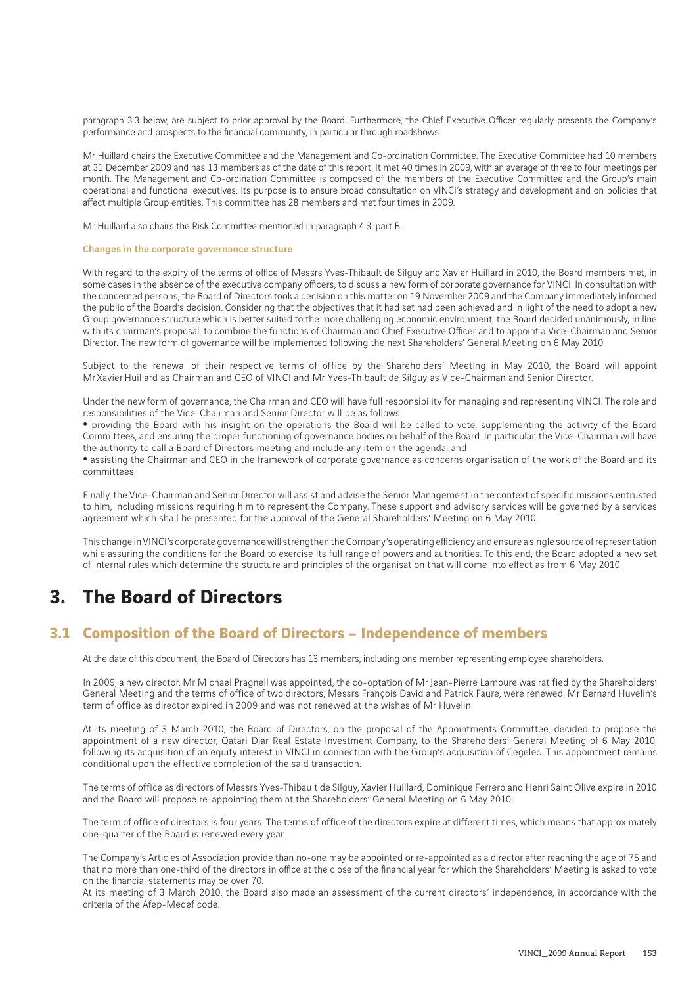paragraph 3.3 below, are subject to prior approval by the Board. Furthermore, the Chief Executive Officer regularly presents the Company's performance and prospects to the financial community, in particular through roadshows.

Mr Huillard chairs the Executive Committee and the Management and Co-ordination Committee. The Executive Committee had 10 members at 31 December 2009 and has 13 members as of the date of this report. It met 40 times in 2009, with an average of three to four meetings per month. The Management and Co-ordination Committee is composed of the members of the Executive Committee and the Group's main operational and functional executives. Its purpose is to ensure broad consultation on VINCI's strategy and development and on policies that affect multiple Group entities. This committee has 28 members and met four times in 2009.

Mr Huillard also chairs the Risk Committee mentioned in paragraph 4.3, part B.

### Changes in the corporate governance structure

With regard to the expiry of the terms of office of Messrs Yves-Thibault de Silguy and Xavier Huillard in 2010, the Board members met, in some cases in the absence of the executive company officers, to discuss a new form of corporate governance for VINCI. In consultation with the concerned persons, the Board of Directors took a decision on this matter on 19 November 2009 and the Company immediately informed the public of the Board's decision. Considering that the objectives that it had set had been achieved and in light of the need to adopt a new Group governance structure which is better suited to the more challenging economic environment, the Board decided unanimously, in line with its chairman's proposal, to combine the functions of Chairman and Chief Executive Officer and to appoint a Vice-Chairman and Senior Director. The new form of governance will be implemented following the next Shareholders' General Meeting on 6 May 2010.

Subject to the renewal of their respective terms of office by the Shareholders' Meeting in May 2010, the Board will appoint Mr Xavier Huillard as Chairman and CEO of VINCI and Mr Yves-Thibault de Silguy as Vice-Chairman and Senior Director.

Under the new form of governance, the Chairman and CEO will have full responsibility for managing and representing VINCI. The role and responsibilities of the Vice-Chairman and Senior Director will be as follows:

• providing the Board with his insight on the operations the Board will be called to vote, supplementing the activity of the Board Committees, and ensuring the proper functioning of governance bodies on behalf of the Board. In particular, the Vice-Chairman will have the authority to call a Board of Directors meeting and include any item on the agenda; and

• assisting the Chairman and CEO in the framework of corporate governance as concerns organisation of the work of the Board and its committees.

Finally, the Vice-Chairman and Senior Director will assist and advise the Senior Management in the context of specific missions entrusted to him, including missions requiring him to represent the Company. These support and advisory services will be governed by a services agreement which shall be presented for the approval of the General Shareholders' Meeting on 6 May 2010.

This change in VINCI's corporate governance will strengthen the Company's operating efficiency and ensure a single source of representation while assuring the conditions for the Board to exercise its full range of powers and authorities. To this end, the Board adopted a new set of internal rules which determine the structure and principles of the organisation that will come into effect as from 6 May 2010.

## **3. The Board of Directors**

### **3.1 Composition of the Board of Directors – Independence of members**

At the date of this document, the Board of Directors has 13 members, including one member representing employee shareholders.

In 2009, a new director, Mr Michael Pragnell was appointed, the co-optation of Mr Jean-Pierre Lamoure was ratified by the Shareholders' General Meeting and the terms of office of two directors, Messrs François David and Patrick Faure, were renewed. Mr Bernard Huvelin's term of office as director expired in 2009 and was not renewed at the wishes of Mr Huvelin.

At its meeting of 3 March 2010, the Board of Directors, on the proposal of the Appointments Committee, decided to propose the appointment of a new director, Qatari Diar Real Estate Investment Company, to the Shareholders' General Meeting of 6 May 2010, following its acquisition of an equity interest in VINCI in connection with the Group's acquisition of Cegelec. This appointment remains conditional upon the effective completion of the said transaction.

The terms of office as directors of Messrs Yves-Thibault de Silguy, Xavier Huillard, Dominique Ferrero and Henri Saint Olive expire in 2010 and the Board will propose re-appointing them at the Shareholders' General Meeting on 6 May 2010.

The term of office of directors is four years. The terms of office of the directors expire at different times, which means that approximately one-quarter of the Board is renewed every year.

The Company's Articles of Association provide than no-one may be appointed or re-appointed as a director after reaching the age of 75 and that no more than one-third of the directors in office at the close of the financial year for which the Shareholders' Meeting is asked to vote on the financial statements may be over 70.

At its meeting of 3 March 2010, the Board also made an assessment of the current directors' independence, in accordance with the criteria of the Afep-Medef code.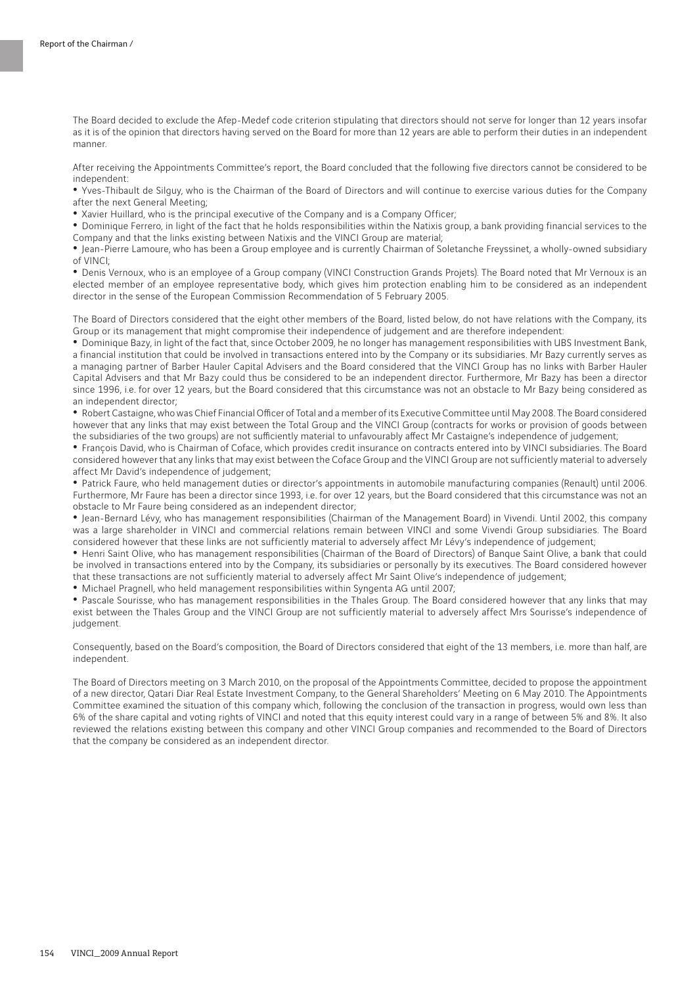The Board decided to exclude the Afep-Medef code criterion stipulating that directors should not serve for longer than 12 years insofar as it is of the opinion that directors having served on the Board for more than 12 years are able to perform their duties in an independent manner.

After receiving the Appointments Committee's report, the Board concluded that the following five directors cannot be considered to be independent:

• Yves-Thibault de Silguy, who is the Chairman of the Board of Directors and will continue to exercise various duties for the Company after the next General Meeting;

• Xavier Huillard, who is the principal executive of the Company and is a Company Officer;

• Dominique Ferrero, in light of the fact that he holds responsibilities within the Natixis group, a bank providing financial services to the Company and that the links existing between Natixis and the VINCI Group are material;

• Jean-Pierre Lamoure, who has been a Group employee and is currently Chairman of Soletanche Freyssinet, a wholly-owned subsidiary of VINCI;

• Denis Vernoux, who is an employee of a Group company (VINCI Construction Grands Projets). The Board noted that Mr Vernoux is an elected member of an employee representative body, which gives him protection enabling him to be considered as an independent director in the sense of the European Commission Recommendation of 5 February 2005.

The Board of Directors considered that the eight other members of the Board, listed below, do not have relations with the Company, its Group or its management that might compromise their independence of judgement and are therefore independent:

• Dominique Bazy, in light of the fact that, since October 2009, he no longer has management responsibilities with UBS Investment Bank, a financial institution that could be involved in transactions entered into by the Company or its subsidiaries. Mr Bazy currently serves as a managing partner of Barber Hauler Capital Advisers and the Board considered that the VINCI Group has no links with Barber Hauler Capital Advisers and that Mr Bazy could thus be considered to be an independent director. Furthermore, Mr Bazy has been a director since 1996, i.e. for over 12 years, but the Board considered that this circumstance was not an obstacle to Mr Bazy being considered as an independent director;

• Robert Castaigne, who was Chief Financial Officer of Total and a member of its Executive Committee until May 2008. The Board considered however that any links that may exist between the Total Group and the VINCI Group (contracts for works or provision of goods between the subsidiaries of the two groups) are not sufficiently material to unfavourably affect Mr Castaigne's independence of judgement;

• François David, who is Chairman of Coface, which provides credit insurance on contracts entered into by VINCI subsidiaries. The Board considered however that any links that may exist between the Coface Group and the VINCI Group are not sufficiently material to adversely affect Mr David's independence of judgement;

• Patrick Faure, who held management duties or director's appointments in automobile manufacturing companies (Renault) until 2006. Furthermore, Mr Faure has been a director since 1993, i.e. for over 12 years, but the Board considered that this circumstance was not an obstacle to Mr Faure being considered as an independent director;

• Jean-Bernard Lévy, who has management responsibilities (Chairman of the Management Board) in Vivendi. Until 2002, this company was a large shareholder in VINCI and commercial relations remain between VINCI and some Vivendi Group subsidiaries. The Board considered however that these links are not sufficiently material to adversely affect Mr Lévy's independence of judgement;

• Henri Saint Olive, who has management responsibilities (Chairman of the Board of Directors) of Banque Saint Olive, a bank that could be involved in transactions entered into by the Company, its subsidiaries or personally by its executives. The Board considered however that these transactions are not sufficiently material to adversely affect Mr Saint Olive's independence of judgement;

• Michael Pragnell, who held management responsibilities within Syngenta AG until 2007;

• Pascale Sourisse, who has management responsibilities in the Thales Group. The Board considered however that any links that may exist between the Thales Group and the VINCI Group are not sufficiently material to adversely affect Mrs Sourisse's independence of judgement.

Consequently, based on the Board's composition, the Board of Directors considered that eight of the 13 members, i.e. more than half, are independent.

The Board of Directors meeting on 3 March 2010, on the proposal of the Appointments Committee, decided to propose the appointment of a new director, Qatari Diar Real Estate Investment Company, to the General Shareholders' Meeting on 6 May 2010. The Appointments Committee examined the situation of this company which, following the conclusion of the transaction in progress, would own less than 6% of the share capital and voting rights of VINCI and noted that this equity interest could vary in a range of between 5% and 8%. It also reviewed the relations existing between this company and other VINCI Group companies and recommended to the Board of Directors that the company be considered as an independent director.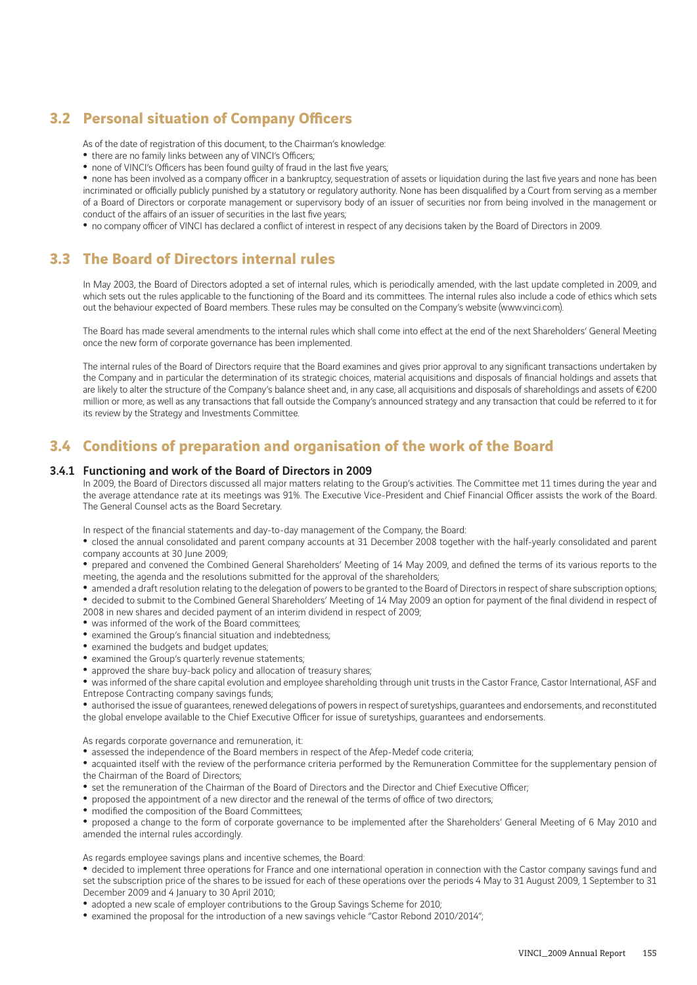## **3.2 Personal situation of Company Officers**

As of the date of registration of this document, to the Chairman's knowledge:

• there are no family links between any of VINCI's Officers;

• none of VINCI's Officers has been found guilty of fraud in the last five years;

• none has been involved as a company officer in a bankruptcy, sequestration of assets or liquidation during the last five years and none has been incriminated or officially publicly punished by a statutory or regulatory authority. None has been disqualified by a Court from serving as a member of a Board of Directors or corporate management or supervisory body of an issuer of securities nor from being involved in the management or conduct of the affairs of an issuer of securities in the last five years;

• no company officer of VINCI has declared a conflict of interest in respect of any decisions taken by the Board of Directors in 2009.

## **3.3 The Board of Directors internal rules**

In May 2003, the Board of Directors adopted a set of internal rules, which is periodically amended, with the last update completed in 2009, and which sets out the rules applicable to the functioning of the Board and its committees. The internal rules also include a code of ethics which sets out the behaviour expected of Board members. These rules may be consulted on the Company's website (www.vinci.com).

The Board has made several amendments to the internal rules which shall come into effect at the end of the next Shareholders' General Meeting once the new form of corporate governance has been implemented.

The internal rules of the Board of Directors require that the Board examines and gives prior approval to any significant transactions undertaken by the Company and in particular the determination of its strategic choices, material acquisitions and disposals of financial holdings and assets that are likely to alter the structure of the Company's balance sheet and, in any case, all acquisitions and disposals of shareholdings and assets of €200 million or more, as well as any transactions that fall outside the Company's announced strategy and any transaction that could be referred to it for its review by the Strategy and Investments Committee.

### **3.4 Conditions of preparation and organisation of the work of the Board**

### 3.4.1 Functioning and work of the Board of Directors in 2009

In 2009, the Board of Directors discussed all major matters relating to the Group's activities. The Committee met 11 times during the year and the average attendance rate at its meetings was 91%. The Executive Vice-President and Chief Financial Officer assists the work of the Board. The General Counsel acts as the Board Secretary.

In respect of the financial statements and day-to-day management of the Company, the Board:

• closed the annual consolidated and parent company accounts at 31 December 2008 together with the half-yearly consolidated and parent company accounts at 30 June 2009;

• prepared and convened the Combined General Shareholders' Meeting of 14 May 2009, and defined the terms of its various reports to the meeting, the agenda and the resolutions submitted for the approval of the shareholders;

• amended a draft resolution relating to the delegation of powers to be granted to the Board of Directors in respect of share subscription options; • decided to submit to the Combined General Shareholders' Meeting of 14 May 2009 an option for payment of the final dividend in respect of 2008 in new shares and decided payment of an interim dividend in respect of 2009;

- 
- was informed of the work of the Board committees;
- examined the Group's financial situation and indebtedness;
- examined the budgets and budget updates;
- examined the Group's quarterly revenue statements; • approved the share buy-back policy and allocation of treasury shares;

• was informed of the share capital evolution and employee shareholding through unit trusts in the Castor France, Castor International, ASF and Entrepose Contracting company savings funds;

• authorised the issue of guarantees, renewed delegations of powers in respect of suretyships, guarantees and endorsements, and reconstituted the global envelope available to the Chief Executive Officer for issue of suretyships, guarantees and endorsements.

As regards corporate governance and remuneration, it:

• assessed the independence of the Board members in respect of the Afep-Medef code criteria;

• acquainted itself with the review of the performance criteria performed by the Remuneration Committee for the supplementary pension of the Chairman of the Board of Directors;

• set the remuneration of the Chairman of the Board of Directors and the Director and Chief Executive Officer;

• proposed the appointment of a new director and the renewal of the terms of office of two directors;

• modified the composition of the Board Committees;

• proposed a change to the form of corporate governance to be implemented after the Shareholders' General Meeting of 6 May 2010 and amended the internal rules accordingly.

As regards employee savings plans and incentive schemes, the Board:

• decided to implement three operations for France and one international operation in connection with the Castor company savings fund and set the subscription price of the shares to be issued for each of these operations over the periods 4 May to 31 August 2009, 1 September to 31 December 2009 and 4 January to 30 April 2010;

• adopted a new scale of employer contributions to the Group Savings Scheme for 2010;

• examined the proposal for the introduction of a new savings vehicle "Castor Rebond 2010/2014";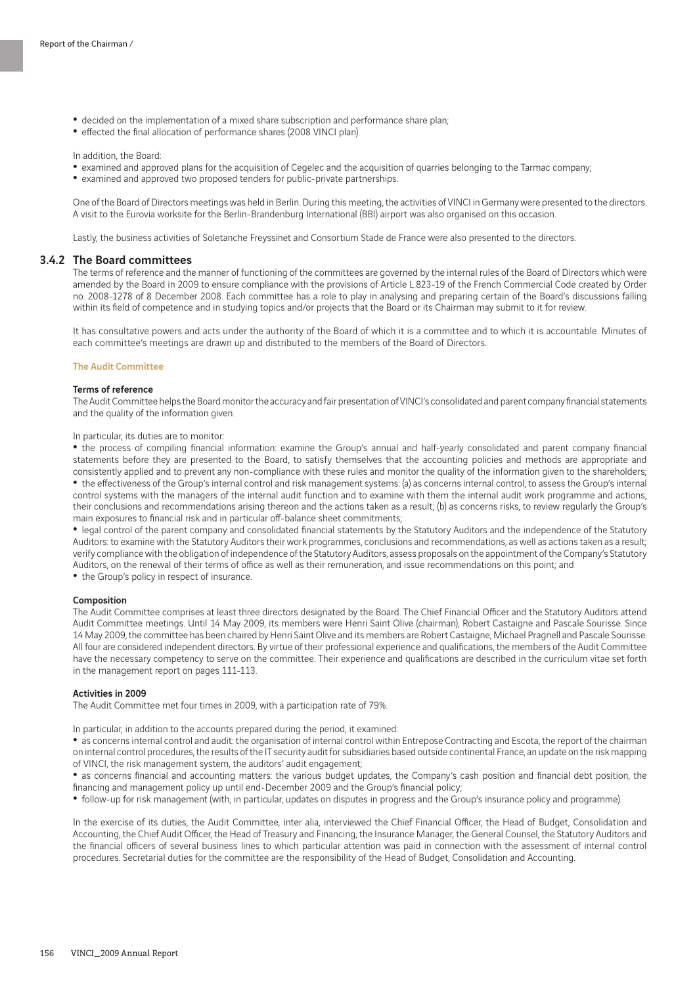- decided on the implementation of a mixed share subscription and performance share plan;
- effected the final allocation of performance shares (2008 VINCI plan).

In addition, the Board:

- examined and approved plans for the acquisition of Cegelec and the acquisition of quarries belonging to the Tarmac company;
- examined and approved two proposed tenders for public-private partnerships.

One of the Board of Directors meetings was held in Berlin. During this meeting, the activities of VINCI in Germany were presented to the directors. A visit to the Eurovia worksite for the Berlin-Brandenburg International (BBI) airport was also organised on this occasion.

Lastly, the business activities of Soletanche Freyssinet and Consortium Stade de France were also presented to the directors.

### 3.4.2 The Board committees

The terms of reference and the manner of functioning of the committees are governed by the internal rules of the Board of Directors which were amended by the Board in 2009 to ensure compliance with the provisions of Article L.823-19 of the French Commercial Code created by Order no. 2008-1278 of 8 December 2008. Each committee has a role to play in analysing and preparing certain of the Board's discussions falling within its field of competence and in studying topics and/or projects that the Board or its Chairman may submit to it for review.

It has consultative powers and acts under the authority of the Board of which it is a committee and to which it is accountable. Minutes of each committee's meetings are drawn up and distributed to the members of the Board of Directors.

#### The Audit Committee

### Terms of reference

The Audit Committee helps the Board monitor the accuracy and fair presentation of VINCI's consolidated and parent company financial statements and the quality of the information given.

#### In particular, its duties are to monitor:

• the process of compiling financial information: examine the Group's annual and half-yearly consolidated and parent company financial statements before they are presented to the Board, to satisfy themselves that the accounting policies and methods are appropriate and consistently applied and to prevent any non-compliance with these rules and monitor the quality of the information given to the shareholders; • the effectiveness of the Group's internal control and risk management systems: (a) as concerns internal control, to assess the Group's internal control systems with the managers of the internal audit function and to examine with them the internal audit work programme and actions, their conclusions and recommendations arising thereon and the actions taken as a result; (b) as concerns risks, to review regularly the Group's main exposures to financial risk and in particular off-balance sheet commitments;

• legal control of the parent company and consolidated financial statements by the Statutory Auditors and the independence of the Statutory Auditors: to examine with the Statutory Auditors their work programmes, conclusions and recommendations, as well as actions taken as a result; verify compliance with the obligation of independence of the Statutory Auditors, assess proposals on the appointment of the Company's Statutory Auditors, on the renewal of their terms of office as well as their remuneration, and issue recommendations on this point; and

• the Group's policy in respect of insurance.

### Composition

The Audit Committee comprises at least three directors designated by the Board. The Chief Financial Officer and the Statutory Auditors attend Audit Committee meetings. Until 14 May 2009, its members were Henri Saint Olive (chairman), Robert Castaigne and Pascale Sourisse. Since 14 May 2009, the committee has been chaired by Henri Saint Olive and its members are Robert Castaigne, Michael Pragnell and Pascale Sourisse. All four are considered independent directors. By virtue of their professional experience and qualifications, the members of the Audit Committee have the necessary competency to serve on the committee. Their experience and qualifications are described in the curriculum vitae set forth in the management report on pages 111-113.

#### Activities in 2009

The Audit Committee met four times in 2009, with a participation rate of 79%.

In particular, in addition to the accounts prepared during the period, it examined:

• as concerns internal control and audit: the organisation of internal control within Entrepose Contracting and Escota, the report of the chairman on internal control procedures, the results of the IT security audit for subsidiaries based outside continental France, an update on the risk mapping of VINCI, the risk management system, the auditors' audit engagement;

• as concerns financial and accounting matters: the various budget updates, the Company's cash position and financial debt position, the financing and management policy up until end-December 2009 and the Group's financial policy;

• follow-up for risk management (with, in particular, updates on disputes in progress and the Group's insurance policy and programme).

In the exercise of its duties, the Audit Committee, inter alia, interviewed the Chief Financial Officer, the Head of Budget, Consolidation and Accounting, the Chief Audit Officer, the Head of Treasury and Financing, the Insurance Manager, the General Counsel, the Statutory Auditors and the financial officers of several business lines to which particular attention was paid in connection with the assessment of internal control procedures. Secretarial duties for the committee are the responsibility of the Head of Budget, Consolidation and Accounting.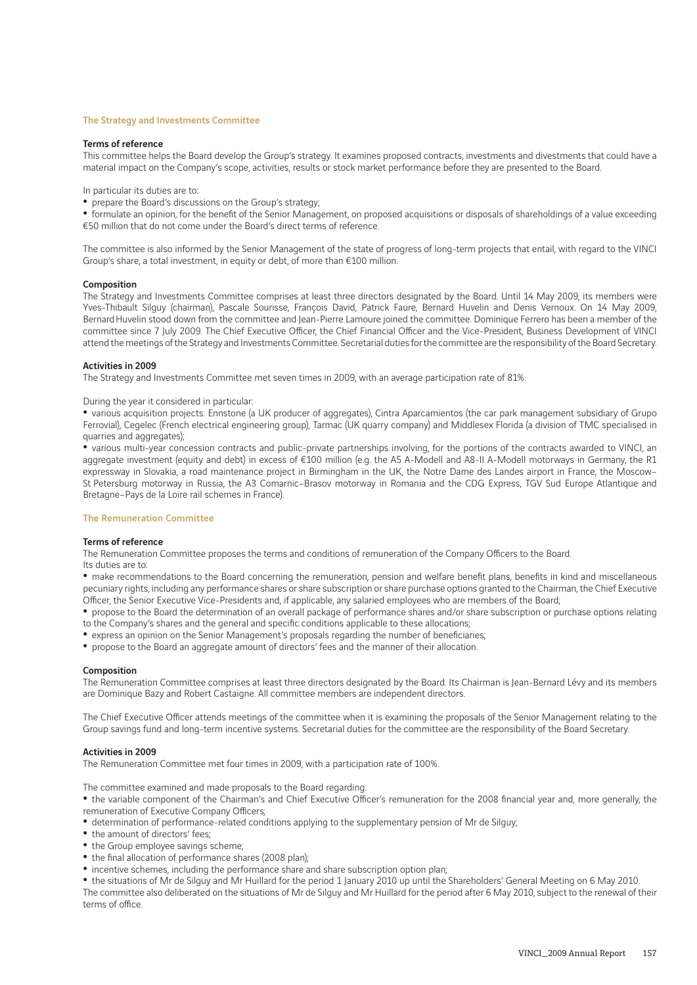#### The Strategy and Investments Committee

#### Terms of reference

This committee helps the Board develop the Group's strategy. It examines proposed contracts, investments and divestments that could have a material impact on the Company's scope, activities, results or stock market performance before they are presented to the Board.

In particular its duties are to:

• prepare the Board's discussions on the Group's strategy;

• formulate an opinion, for the benefit of the Senior Management, on proposed acquisitions or disposals of shareholdings of a value exceeding €50 million that do not come under the Board's direct terms of reference.

The committee is also informed by the Senior Management of the state of progress of long-term projects that entail, with regard to the VINCI Group's share, a total investment, in equity or debt, of more than €100 million.

#### Composition

The Strategy and Investments Committee comprises at least three directors designated by the Board. Until 14 May 2009, its members were Yves-Thibault Silguy (chairman), Pascale Sourisse, François David, Patrick Faure, Bernard Huvelin and Denis Vernoux. On 14 May 2009, Bernard Huvelin stood down from the committee and Jean-Pierre Lamoure joined the committee. Dominique Ferrero has been a member of the committee since 7 July 2009. The Chief Executive Officer, the Chief Financial Officer and the Vice-President, Business Development of VINCI attend the meetings of the Strategy and Investments Committee. Secretarial duties for the committee are the responsibility of the Board Secretary.

#### Activities in 2009

The Strategy and Investments Committee met seven times in 2009, with an average participation rate of 81%.

### During the year it considered in particular:

• various acquisition projects: Ennstone (a UK producer of aggregates), Cintra Aparcamientos (the car park management subsidiary of Grupo Ferrovial), Cegelec (French electrical engineering group), Tarmac (UK quarry company) and Middlesex Florida (a division of TMC specialised in quarries and aggregates);

• various multi-year concession contracts and public-private partnerships involving, for the portions of the contracts awarded to VINCI, an aggregate investment (equity and debt) in excess of €100 million (e.g. the A5 A-Modell and A8-II A-Modell motorways in Germany, the R1 expressway in Slovakia, a road maintenance project in Birmingham in the UK, the Notre Dame des Landes airport in France, the Moscow– St Petersburg motorway in Russia, the A3 Comarnic–Brasov motorway in Romania and the CDG Express, TGV Sud Europe Atlantique and Bretagne–Pays de la Loire rail schemes in France).

### The Remuneration Committee

### Terms of reference

The Remuneration Committee proposes the terms and conditions of remuneration of the Company Officers to the Board. Its duties are to:

• make recommendations to the Board concerning the remuneration, pension and welfare benefit plans, benefits in kind and miscellaneous pecuniary rights, including any performance shares or share subscription or share purchase options granted to the Chairman, the Chief Executive Officer, the Senior Executive Vice-Presidents and, if applicable, any salaried employees who are members of the Board;

• propose to the Board the determination of an overall package of performance shares and/or share subscription or purchase options relating to the Company's shares and the general and specific conditions applicable to these allocations;

- express an opinion on the Senior Management's proposals regarding the number of beneficiaries;
- propose to the Board an aggregate amount of directors' fees and the manner of their allocation.

#### Composition

The Remuneration Committee comprises at least three directors designated by the Board. Its Chairman is Jean-Bernard Lévy and its members are Dominique Bazy and Robert Castaigne. All committee members are independent directors.

The Chief Executive Officer attends meetings of the committee when it is examining the proposals of the Senior Management relating to the Group savings fund and long-term incentive systems. Secretarial duties for the committee are the responsibility of the Board Secretary.

#### Activities in 2009

The Remuneration Committee met four times in 2009, with a participation rate of 100%.

The committee examined and made proposals to the Board regarding:

• the variable component of the Chairman's and Chief Executive Officer's remuneration for the 2008 financial year and, more generally, the remuneration of Executive Company Officers;

- determination of performance-related conditions applying to the supplementary pension of Mr de Silguy;
- the amount of directors' fees;
- the Group employee savings scheme;
- the final allocation of performance shares (2008 plan);
- incentive schemes, including the performance share and share subscription option plan;

• the situations of Mr de Silguy and Mr Huillard for the period 1 January 2010 up until the Shareholders' General Meeting on 6 May 2010. The committee also deliberated on the situations of Mr de Silguy and Mr Huillard for the period after 6 May 2010, subject to the renewal of their terms of office.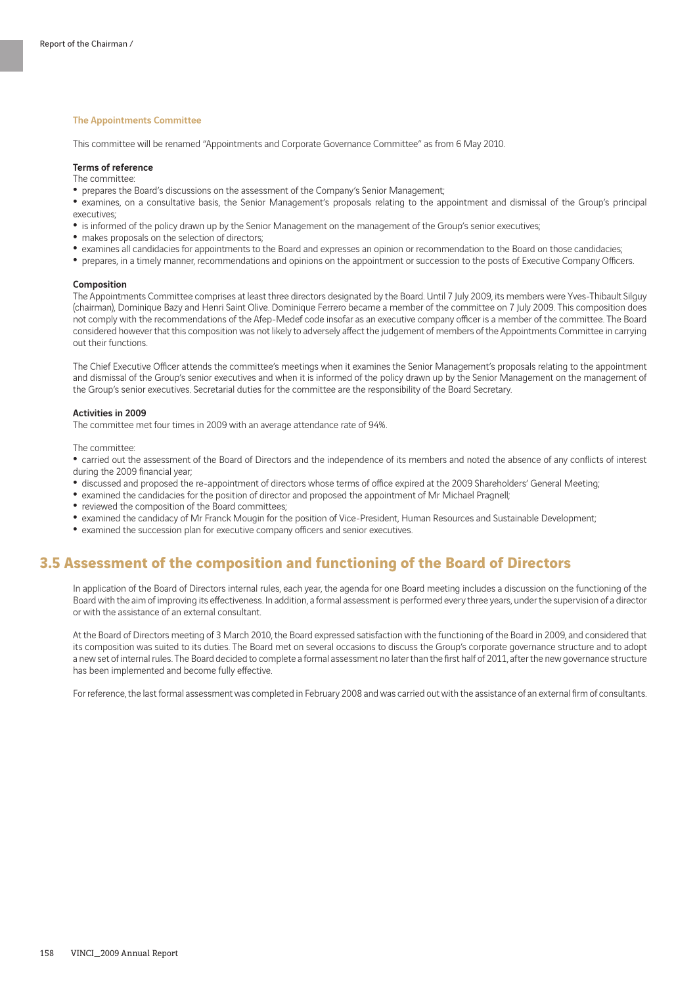#### The Appointments Committee

This committee will be renamed "Appointments and Corporate Governance Committee" as from 6 May 2010.

### Terms of reference

The committee:

• prepares the Board's discussions on the assessment of the Company's Senior Management;

• examines, on a consultative basis, the Senior Management's proposals relating to the appointment and dismissal of the Group's principal executives;

- is informed of the policy drawn up by the Senior Management on the management of the Group's senior executives;
- makes proposals on the selection of directors;
- examines all candidacies for appointments to the Board and expresses an opinion or recommendation to the Board on those candidacies;
- prepares, in a timely manner, recommendations and opinions on the appointment or succession to the posts of Executive Company Officers.

#### Composition

The Appointments Committee comprises at least three directors designated by the Board. Until 7 July 2009, its members were Yves-Thibault Silguy (chairman), Dominique Bazy and Henri Saint Olive. Dominique Ferrero became a member of the committee on 7 July 2009. This composition does not comply with the recommendations of the Afep-Medef code insofar as an executive company officer is a member of the committee. The Board considered however that this composition was not likely to adversely affect the judgement of members of the Appointments Committee in carrying out their functions.

The Chief Executive Officer attends the committee's meetings when it examines the Senior Management's proposals relating to the appointment and dismissal of the Group's senior executives and when it is informed of the policy drawn up by the Senior Management on the management of the Group's senior executives. Secretarial duties for the committee are the responsibility of the Board Secretary.

#### Activities in 2009

The committee met four times in 2009 with an average attendance rate of 94%.

The committee:

• carried out the assessment of the Board of Directors and the independence of its members and noted the absence of any conflicts of interest during the 2009 financial year;

- discussed and proposed the re-appointment of directors whose terms of office expired at the 2009 Shareholders' General Meeting;
- examined the candidacies for the position of director and proposed the appointment of Mr Michael Pragnell;
- reviewed the composition of the Board committees;
- examined the candidacy of Mr Franck Mougin for the position of Vice-President, Human Resources and Sustainable Development;
- examined the succession plan for executive company officers and senior executives.

### **3.5 Assessment of the composition and functioning of the Board of Directors**

In application of the Board of Directors internal rules, each year, the agenda for one Board meeting includes a discussion on the functioning of the Board with the aim of improving its effectiveness. In addition, a formal assessment is performed every three years, under the supervision of a director or with the assistance of an external consultant.

At the Board of Directors meeting of 3 March 2010, the Board expressed satisfaction with the functioning of the Board in 2009, and considered that its composition was suited to its duties. The Board met on several occasions to discuss the Group's corporate governance structure and to adopt a new set of internal rules. The Board decided to complete a formal assessment no later than the first half of 2011, after the new governance structure has been implemented and become fully effective.

For reference, the last formal assessment was completed in February 2008 and was carried out with the assistance of an external firm of consultants.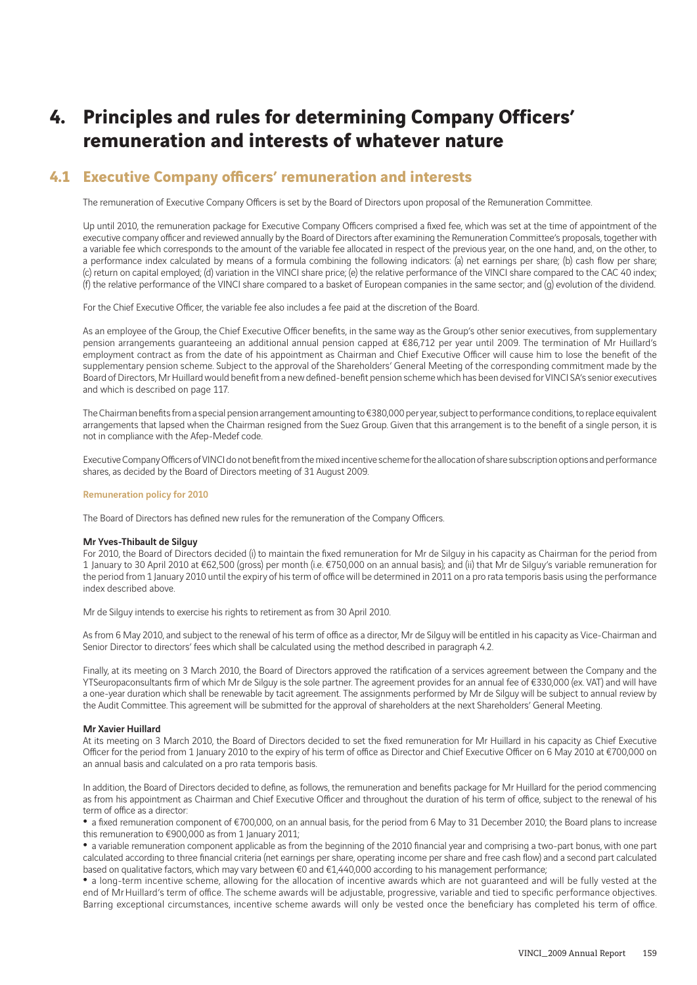# **4. Principles and rules for determining Company Officers' remuneration and interests of whatever nature**

### **4.1 Executive Company officers' remuneration and interests**

The remuneration of Executive Company Officers is set by the Board of Directors upon proposal of the Remuneration Committee.

Up until 2010, the remuneration package for Executive Company Officers comprised a fixed fee, which was set at the time of appointment of the executive company officer and reviewed annually by the Board of Directors after examining the Remuneration Committee's proposals, together with a variable fee which corresponds to the amount of the variable fee allocated in respect of the previous year, on the one hand, and, on the other, to a performance index calculated by means of a formula combining the following indicators: (a) net earnings per share; (b) cash flow per share; (c) return on capital employed; (d) variation in the VINCI share price; (e) the relative performance of the VINCI share compared to the CAC 40 index; (f) the relative performance of the VINCI share compared to a basket of European companies in the same sector; and (g) evolution of the dividend.

For the Chief Executive Officer, the variable fee also includes a fee paid at the discretion of the Board.

As an employee of the Group, the Chief Executive Officer benefits, in the same way as the Group's other senior executives, from supplementary pension arrangements guaranteeing an additional annual pension capped at €86,712 per year until 2009. The termination of Mr Huillard's employment contract as from the date of his appointment as Chairman and Chief Executive Officer will cause him to lose the benefit of the supplementary pension scheme. Subject to the approval of the Shareholders' General Meeting of the corresponding commitment made by the Board of Directors, Mr Huillard would benefit from a new defined-benefit pension scheme which has been devised for VINCI SA's senior executives and which is described on page 117.

The Chairman benefits from a special pension arrangement amounting to €380,000 per year, subject to performance conditions, to replace equivalent arrangements that lapsed when the Chairman resigned from the Suez Group. Given that this arrangement is to the benefit of a single person, it is not in compliance with the Afep-Medef code.

Executive Company Officers of VINCI do not benefit from the mixed incentive scheme for the allocation of share subscription options and performance shares, as decided by the Board of Directors meeting of 31 August 2009.

### Remuneration policy for 2010

The Board of Directors has defined new rules for the remuneration of the Company Officers.

### Mr Yves-Thibault de Silguy

For 2010, the Board of Directors decided (i) to maintain the fixed remuneration for Mr de Silguy in his capacity as Chairman for the period from 1 January to 30 April 2010 at €62,500 (gross) per month (i.e. €750,000 on an annual basis); and (ii) that Mr de Silguy's variable remuneration for the period from 1 January 2010 until the expiry of his term of office will be determined in 2011 on a pro rata temporis basis using the performance index described above.

Mr de Silguy intends to exercise his rights to retirement as from 30 April 2010.

As from 6 May 2010, and subject to the renewal of his term of office as a director, Mr de Silguy will be entitled in his capacity as Vice-Chairman and Senior Director to directors' fees which shall be calculated using the method described in paragraph 4.2.

Finally, at its meeting on 3 March 2010, the Board of Directors approved the ratification of a services agreement between the Company and the YTSeuropaconsultants firm of which Mr de Silguy is the sole partner. The agreement provides for an annual fee of €330,000 (ex. VAT) and will have a one-year duration which shall be renewable by tacit agreement. The assignments performed by Mr de Silguy will be subject to annual review by the Audit Committee. This agreement will be submitted for the approval of shareholders at the next Shareholders' General Meeting.

### Mr Xavier Huillard

At its meeting on 3 March 2010, the Board of Directors decided to set the fixed remuneration for Mr Huillard in his capacity as Chief Executive Officer for the period from 1 January 2010 to the expiry of his term of office as Director and Chief Executive Officer on 6 May 2010 at €700,000 on an annual basis and calculated on a pro rata temporis basis.

In addition, the Board of Directors decided to define, as follows, the remuneration and benefits package for Mr Huillard for the period commencing as from his appointment as Chairman and Chief Executive Officer and throughout the duration of his term of office, subject to the renewal of his term of office as a director:

• a fixed remuneration component of €700,000, on an annual basis, for the period from 6 May to 31 December 2010; the Board plans to increase this remuneration to €900,000 as from 1 January 2011;

• a variable remuneration component applicable as from the beginning of the 2010 financial year and comprising a two-part bonus, with one part calculated according to three financial criteria (net earnings per share, operating income per share and free cash flow) and a second part calculated based on qualitative factors, which may vary between €0 and €1,440,000 according to his management performance;

• a long-term incentive scheme, allowing for the allocation of incentive awards which are not guaranteed and will be fully vested at the end of Mr Huillard's term of office. The scheme awards will be adjustable, progressive, variable and tied to specific performance objectives. Barring exceptional circumstances, incentive scheme awards will only be vested once the beneficiary has completed his term of office.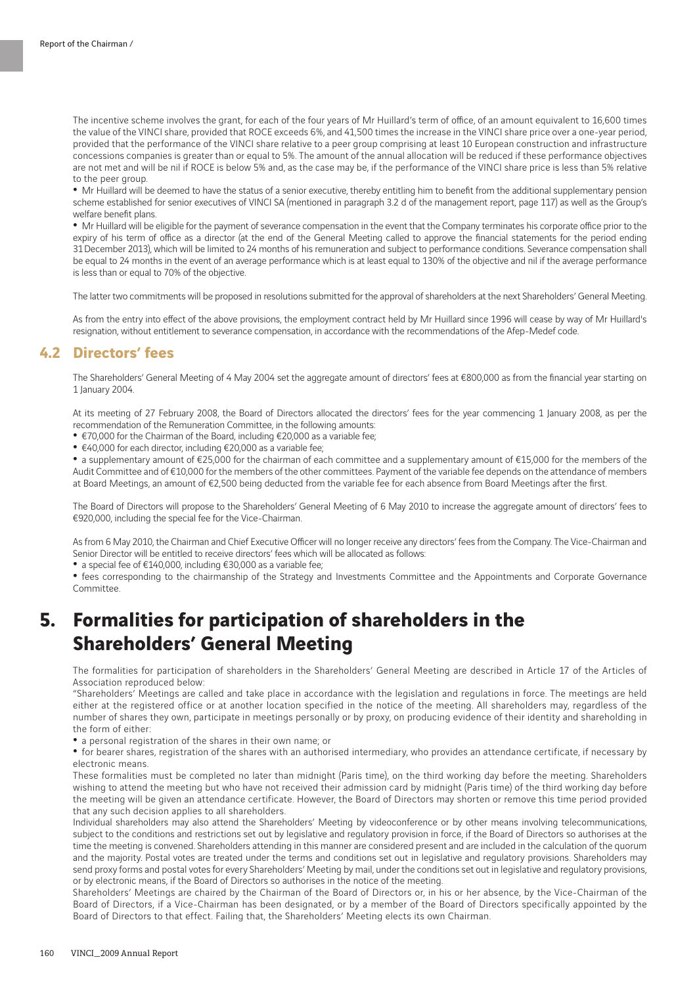The incentive scheme involves the grant, for each of the four years of Mr Huillard's term of office, of an amount equivalent to 16,600 times the value of the VINCI share, provided that ROCE exceeds 6%, and 41,500 times the increase in the VINCI share price over a one-year period, provided that the performance of the VINCI share relative to a peer group comprising at least 10 European construction and infrastructure concessions companies is greater than or equal to 5%. The amount of the annual allocation will be reduced if these performance objectives are not met and will be nil if ROCE is below 5% and, as the case may be, if the performance of the VINCI share price is less than 5% relative to the peer group.

• Mr Huillard will be deemed to have the status of a senior executive, thereby entitling him to benefit from the additional supplementary pension scheme established for senior executives of VINCI SA (mentioned in paragraph 3.2 d of the management report, page 117) as well as the Group's welfare benefit plans.

• Mr Huillard will be eligible for the payment of severance compensation in the event that the Company terminates his corporate office prior to the expiry of his term of office as a director (at the end of the General Meeting called to approve the financial statements for the period ending 31 December 2013), which will be limited to 24 months of his remuneration and subject to performance conditions. Severance compensation shall be equal to 24 months in the event of an average performance which is at least equal to 130% of the objective and nil if the average performance is less than or equal to 70% of the objective.

The latter two commitments will be proposed in resolutions submitted for the approval of shareholders at the next Shareholders' General Meeting.

As from the entry into effect of the above provisions, the employment contract held by Mr Huillard since 1996 will cease by way of Mr Huillard's resignation, without entitlement to severance compensation, in accordance with the recommendations of the Afep-Medef code.

### **4.2 Directors' fees**

The Shareholders' General Meeting of 4 May 2004 set the aggregate amount of directors' fees at €800,000 as from the financial year starting on 1 January 2004.

At its meeting of 27 February 2008, the Board of Directors allocated the directors' fees for the year commencing 1 January 2008, as per the recommendation of the Remuneration Committee, in the following amounts:

• €70,000 for the Chairman of the Board, including €20,000 as a variable fee;

• €40,000 for each director, including €20,000 as a variable fee;

• a supplementary amount of €25,000 for the chairman of each committee and a supplementary amount of €15,000 for the members of the Audit Committee and of €10,000 for the members of the other committees. Payment of the variable fee depends on the attendance of members at Board Meetings, an amount of €2,500 being deducted from the variable fee for each absence from Board Meetings after the first.

The Board of Directors will propose to the Shareholders' General Meeting of 6 May 2010 to increase the aggregate amount of directors' fees to €920,000, including the special fee for the Vice-Chairman.

As from 6 May 2010, the Chairman and Chief Executive Officer will no longer receive any directors' fees from the Company. The Vice-Chairman and Senior Director will be entitled to receive directors' fees which will be allocated as follows:

• a special fee of €140,000, including €30,000 as a variable fee;

• fees corresponding to the chairmanship of the Strategy and Investments Committee and the Appointments and Corporate Governance **Committee** 

# **5. Formalities for participation of shareholders in the Shareholders' General Meeting**

The formalities for participation of shareholders in the Shareholders' General Meeting are described in Article 17 of the Articles of Association reproduced below:

"Shareholders' Meetings are called and take place in accordance with the legislation and regulations in force. The meetings are held either at the registered office or at another location specified in the notice of the meeting. All shareholders may, regardless of the number of shares they own, participate in meetings personally or by proxy, on producing evidence of their identity and shareholding in the form of either:

• a personal registration of the shares in their own name; or

• for bearer shares, registration of the shares with an authorised intermediary, who provides an attendance certificate, if necessary by electronic means.

These formalities must be completed no later than midnight (Paris time), on the third working day before the meeting. Shareholders wishing to attend the meeting but who have not received their admission card by midnight (Paris time) of the third working day before the meeting will be given an attendance certificate. However, the Board of Directors may shorten or remove this time period provided that any such decision applies to all shareholders.

Individual shareholders may also attend the Shareholders' Meeting by videoconference or by other means involving telecommunications, subject to the conditions and restrictions set out by legislative and regulatory provision in force, if the Board of Directors so authorises at the time the meeting is convened. Shareholders attending in this manner are considered present and are included in the calculation of the quorum and the majority. Postal votes are treated under the terms and conditions set out in legislative and regulatory provisions. Shareholders may send proxy forms and postal votes for every Shareholders' Meeting by mail, under the conditions set out in legislative and regulatory provisions, or by electronic means, if the Board of Directors so authorises in the notice of the meeting.

Shareholders' Meetings are chaired by the Chairman of the Board of Directors or, in his or her absence, by the Vice-Chairman of the Board of Directors, if a Vice-Chairman has been designated, or by a member of the Board of Directors specifically appointed by the Board of Directors to that effect. Failing that, the Shareholders' Meeting elects its own Chairman.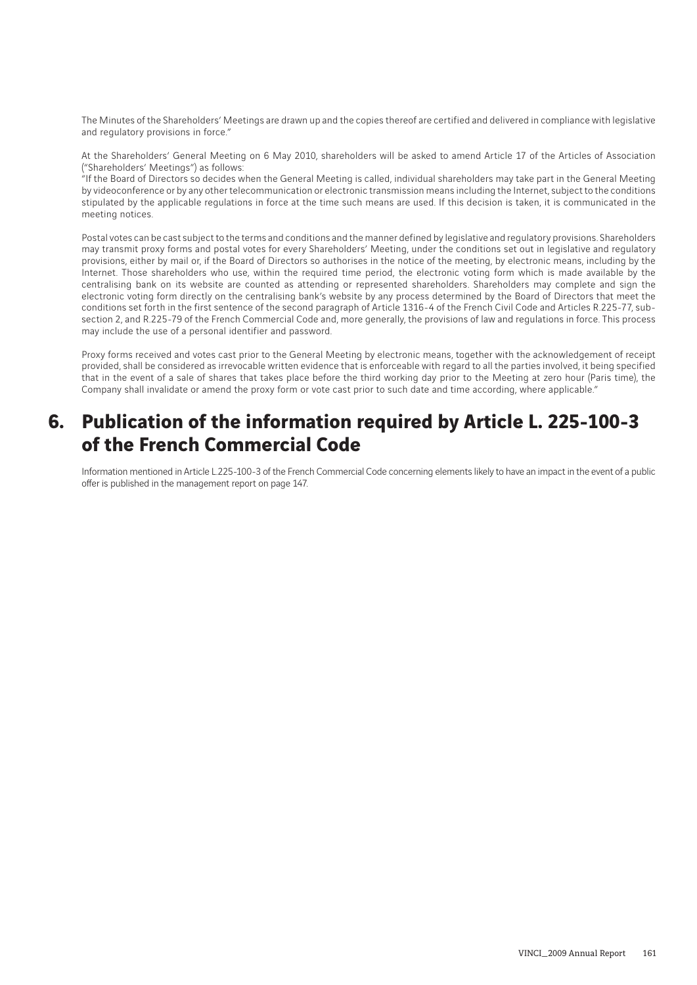The Minutes of the Shareholders' Meetings are drawn up and the copies thereof are certified and delivered in compliance with legislative and regulatory provisions in force."

At the Shareholders' General Meeting on 6 May 2010, shareholders will be asked to amend Article 17 of the Articles of Association ("Shareholders' Meetings") as follows:

"If the Board of Directors so decides when the General Meeting is called, individual shareholders may take part in the General Meeting by videoconference or by any other telecommunication or electronic transmission means including the Internet, subject to the conditions stipulated by the applicable regulations in force at the time such means are used. If this decision is taken, it is communicated in the meeting notices.

Postal votes can be cast subject to the terms and conditions and the manner defined by legislative and regulatory provisions. Shareholders may transmit proxy forms and postal votes for every Shareholders' Meeting, under the conditions set out in legislative and regulatory provisions, either by mail or, if the Board of Directors so authorises in the notice of the meeting, by electronic means, including by the Internet. Those shareholders who use, within the required time period, the electronic voting form which is made available by the centralising bank on its website are counted as attending or represented shareholders. Shareholders may complete and sign the electronic voting form directly on the centralising bank's website by any process determined by the Board of Directors that meet the conditions set forth in the first sentence of the second paragraph of Article 1316-4 of the French Civil Code and Articles R.225-77, subsection 2, and R.225-79 of the French Commercial Code and, more generally, the provisions of law and regulations in force. This process may include the use of a personal identifier and password.

Proxy forms received and votes cast prior to the General Meeting by electronic means, together with the acknowledgement of receipt provided, shall be considered as irrevocable written evidence that is enforceable with regard to all the parties involved, it being specified that in the event of a sale of shares that takes place before the third working day prior to the Meeting at zero hour (Paris time), the Company shall invalidate or amend the proxy form or vote cast prior to such date and time according, where applicable."

# **6. Publication of the information required by Article L. 225-100-3 of the French Commercial Code**

Information mentioned in Article L.225-100-3 of the French Commercial Code concerning elements likely to have an impact in the event of a public offer is published in the management report on page 147.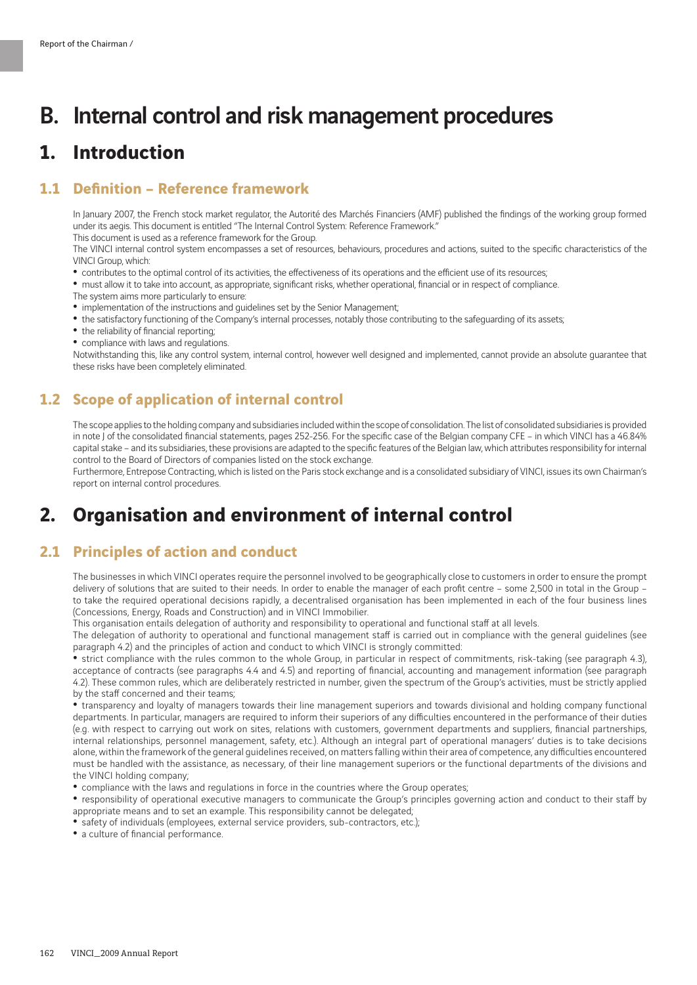# B. Internal control and risk management procedures

## **1. Introduction**

### **1.1 Definition – Reference framework**

In January 2007, the French stock market regulator, the Autorité des Marchés Financiers (AMF) published the findings of the working group formed under its aegis. This document is entitled "The Internal Control System: Reference Framework."

This document is used as a reference framework for the Group.

The VINCI internal control system encompasses a set of resources, behaviours, procedures and actions, suited to the specific characteristics of the VINCI Group, which:

- contributes to the optimal control of its activities, the effectiveness of its operations and the efficient use of its resources;
- must allow it to take into account, as appropriate, significant risks, whether operational, financial or in respect of compliance.

The system aims more particularly to ensure:

- implementation of the instructions and guidelines set by the Senior Management;
- the satisfactory functioning of the Company's internal processes, notably those contributing to the safeguarding of its assets;
- the reliability of financial reporting:
- compliance with laws and regulations.

Notwithstanding this, like any control system, internal control, however well designed and implemented, cannot provide an absolute guarantee that these risks have been completely eliminated.

### **1.2 Scope of application of internal control**

The scope applies to the holding company and subsidiaries included within the scope of consolidation. The list of consolidated subsidiaries is provided in note J of the consolidated financial statements, pages 252-256. For the specific case of the Belgian company CFE – in which VINCI has a 46.84% capital stake – and its subsidiaries, these provisions are adapted to the specific features of the Belgian law, which attributes responsibility for internal control to the Board of Directors of companies listed on the stock exchange.

Furthermore, Entrepose Contracting, which is listed on the Paris stock exchange and is a consolidated subsidiary of VINCI, issues its own Chairman's report on internal control procedures.

# **2. Organisation and environment of internal control**

### **2.1 Principles of action and conduct**

The businesses in which VINCI operates require the personnel involved to be geographically close to customers in order to ensure the prompt delivery of solutions that are suited to their needs. In order to enable the manager of each profit centre – some 2,500 in total in the Group – to take the required operational decisions rapidly, a decentralised organisation has been implemented in each of the four business lines (Concessions, Energy, Roads and Construction) and in VINCI Immobilier.

This organisation entails delegation of authority and responsibility to operational and functional staff at all levels.

The delegation of authority to operational and functional management staff is carried out in compliance with the general guidelines (see paragraph 4.2) and the principles of action and conduct to which VINCI is strongly committed:

• strict compliance with the rules common to the whole Group, in particular in respect of commitments, risk-taking (see paragraph 4.3), acceptance of contracts (see paragraphs 4.4 and 4.5) and reporting of financial, accounting and management information (see paragraph 4.2). These common rules, which are deliberately restricted in number, given the spectrum of the Group's activities, must be strictly applied by the staff concerned and their teams;

• transparency and loyalty of managers towards their line management superiors and towards divisional and holding company functional departments. In particular, managers are required to inform their superiors of any difficulties encountered in the performance of their duties (e.g. with respect to carrying out work on sites, relations with customers, government departments and suppliers, financial partnerships, internal relationships, personnel management, safety, etc.). Although an integral part of operational managers' duties is to take decisions alone, within the framework of the general guidelines received, on matters falling within their area of competence, any difficulties encountered must be handled with the assistance, as necessary, of their line management superiors or the functional departments of the divisions and the VINCI holding company;

• compliance with the laws and regulations in force in the countries where the Group operates;

• responsibility of operational executive managers to communicate the Group's principles governing action and conduct to their staff by appropriate means and to set an example. This responsibility cannot be delegated;

• safety of individuals (employees, external service providers, sub-contractors, etc.);

• a culture of financial performance.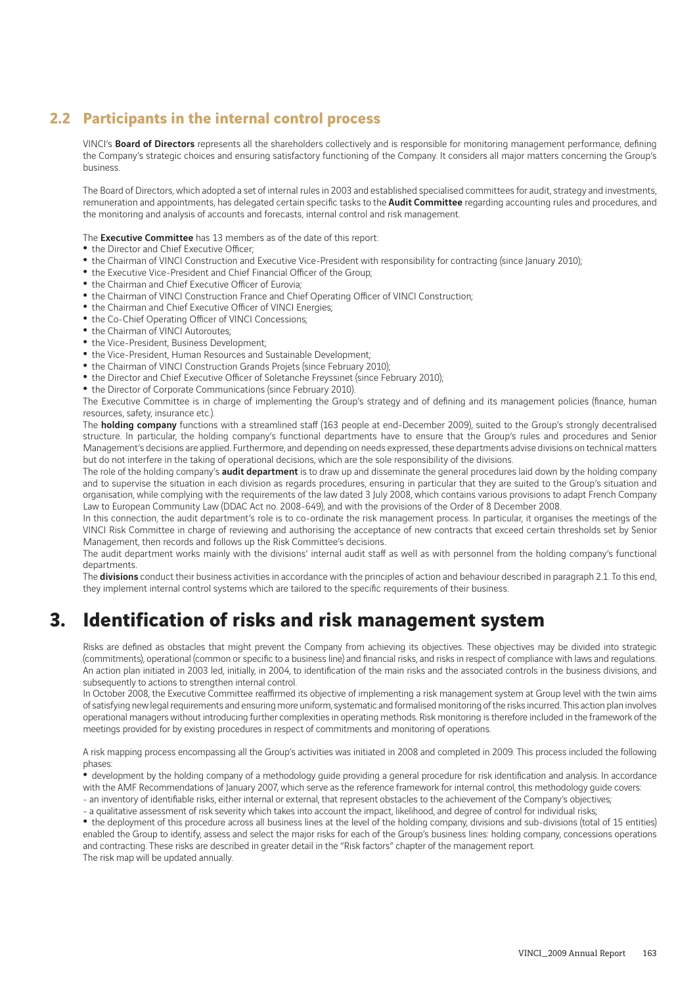## **2.2 Participants in the internal control process**

VINCI's Board of Directors represents all the shareholders collectively and is responsible for monitoring management performance, defining the Company's strategic choices and ensuring satisfactory functioning of the Company. It considers all major matters concerning the Group's business.

The Board of Directors, which adopted a set of internal rules in 2003 and established specialised committees for audit, strategy and investments, remuneration and appointments, has delegated certain specific tasks to the **Audit Committee** regarding accounting rules and procedures, and the monitoring and analysis of accounts and forecasts, internal control and risk management.

The **Executive Committee** has 13 members as of the date of this report:

- the Director and Chief Executive Officer;
- the Chairman of VINCI Construction and Executive Vice-President with responsibility for contracting (since January 2010);
- the Executive Vice-President and Chief Financial Officer of the Group;
- the Chairman and Chief Executive Officer of Eurovia;
- the Chairman of VINCI Construction France and Chief Operating Officer of VINCI Construction;
- the Chairman and Chief Executive Officer of VINCI Energies;
- the Co-Chief Operating Officer of VINCI Concessions;
- the Chairman of VINCI Autoroutes:
- the Vice-President, Business Development;
- the Vice-President, Human Resources and Sustainable Development;
- the Chairman of VINCI Construction Grands Projets (since February 2010);
- the Director and Chief Executive Officer of Soletanche Freyssinet (since February 2010);
- the Director of Corporate Communications (since February 2010).

The Executive Committee is in charge of implementing the Group's strategy and of defining and its management policies (finance, human resources, safety, insurance etc.).

The **holding company** functions with a streamlined staff (163 people at end-December 2009), suited to the Group's strongly decentralised structure. In particular, the holding company's functional departments have to ensure that the Group's rules and procedures and Senior Management's decisions are applied. Furthermore, and depending on needs expressed, these departments advise divisions on technical matters but do not interfere in the taking of operational decisions, which are the sole responsibility of the divisions.

The role of the holding company's **audit department** is to draw up and disseminate the general procedures laid down by the holding company and to supervise the situation in each division as regards procedures, ensuring in particular that they are suited to the Group's situation and organisation, while complying with the requirements of the law dated 3 July 2008, which contains various provisions to adapt French Company Law to European Community Law (DDAC Act no. 2008-649), and with the provisions of the Order of 8 December 2008.

In this connection, the audit department's role is to co-ordinate the risk management process. In particular, it organises the meetings of the VINCI Risk Committee in charge of reviewing and authorising the acceptance of new contracts that exceed certain thresholds set by Senior Management, then records and follows up the Risk Committee's decisions.

The audit department works mainly with the divisions' internal audit staff as well as with personnel from the holding company's functional departments.

The divisions conduct their business activities in accordance with the principles of action and behaviour described in paragraph 2.1. To this end, they implement internal control systems which are tailored to the specific requirements of their business.

# **3. Identification of risks and risk management system**

Risks are defined as obstacles that might prevent the Company from achieving its objectives. These objectives may be divided into strategic (commitments), operational (common or specific to a business line) and financial risks, and risks in respect of compliance with laws and regulations. An action plan initiated in 2003 led, initially, in 2004, to identification of the main risks and the associated controls in the business divisions, and subsequently to actions to strengthen internal control.

In October 2008, the Executive Committee reaffirmed its objective of implementing a risk management system at Group level with the twin aims of satisfying new legal requirements and ensuring more uniform, systematic and formalised monitoring of the risks incurred. This action plan involves operational managers without introducing further complexities in operating methods. Risk monitoring is therefore included in the framework of the meetings provided for by existing procedures in respect of commitments and monitoring of operations.

A risk mapping process encompassing all the Group's activities was initiated in 2008 and completed in 2009. This process included the following phases:

• development by the holding company of a methodology guide providing a general procedure for risk identification and analysis. In accordance with the AMF Recommendations of January 2007, which serve as the reference framework for internal control, this methodology guide covers: - an inventory of identifiable risks, either internal or external, that represent obstacles to the achievement of the Company's objectives;

- a qualitative assessment of risk severity which takes into account the impact, likelihood, and degree of control for individual risks;

• the deployment of this procedure across all business lines at the level of the holding company, divisions and sub-divisions (total of 15 entities) enabled the Group to identify, assess and select the major risks for each of the Group's business lines: holding company, concessions operations and contracting. These risks are described in greater detail in the "Risk factors" chapter of the management report.

The risk map will be updated annually.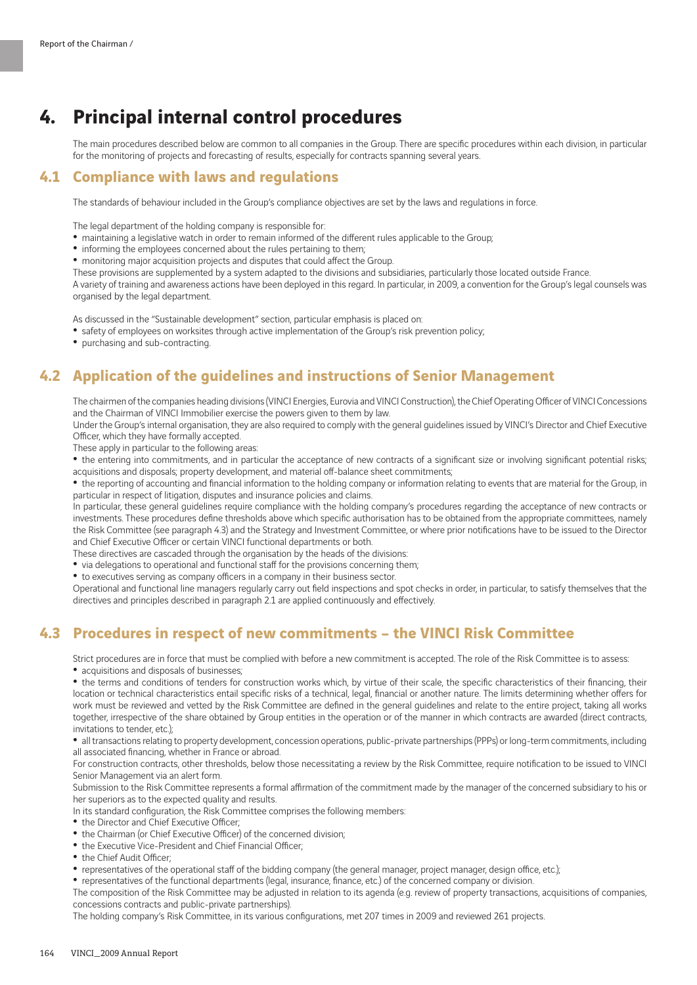# **4. Principal internal control procedures**

The main procedures described below are common to all companies in the Group. There are specific procedures within each division, in particular for the monitoring of projects and forecasting of results, especially for contracts spanning several years.

### **4.1 Compliance with laws and regulations**

The standards of behaviour included in the Group's compliance objectives are set by the laws and regulations in force.

The legal department of the holding company is responsible for:

- maintaining a legislative watch in order to remain informed of the different rules applicable to the Group;
- informing the employees concerned about the rules pertaining to them;
- monitoring major acquisition projects and disputes that could affect the Group.

These provisions are supplemented by a system adapted to the divisions and subsidiaries, particularly those located outside France.

A variety of training and awareness actions have been deployed in this regard. In particular, in 2009, a convention for the Group's legal counsels was organised by the legal department.

As discussed in the "Sustainable development" section, particular emphasis is placed on:

- safety of employees on worksites through active implementation of the Group's risk prevention policy;
- purchasing and sub-contracting.

### **4.2 Application of the guidelines and instructions of Senior Management**

The chairmen of the companies heading divisions (VINCI Energies, Eurovia and VINCI Construction), the Chief Operating Officer of VINCI Concessions and the Chairman of VINCI Immobilier exercise the powers given to them by law.

Under the Group's internal organisation, they are also required to comply with the general guidelines issued by VINCI's Director and Chief Executive Officer, which they have formally accepted.

These apply in particular to the following areas:

• the entering into commitments, and in particular the acceptance of new contracts of a significant size or involving significant potential risks; acquisitions and disposals; property development, and material off-balance sheet commitments;

• the reporting of accounting and financial information to the holding company or information relating to events that are material for the Group, in particular in respect of litigation, disputes and insurance policies and claims.

In particular, these general guidelines require compliance with the holding company's procedures regarding the acceptance of new contracts or investments. These procedures define thresholds above which specific authorisation has to be obtained from the appropriate committees, namely the Risk Committee (see paragraph 4.3) and the Strategy and Investment Committee, or where prior notifications have to be issued to the Director and Chief Executive Officer or certain VINCI functional departments or both.

These directives are cascaded through the organisation by the heads of the divisions:

- via delegations to operational and functional staff for the provisions concerning them;
- to executives serving as company officers in a company in their business sector.

Operational and functional line managers regularly carry out field inspections and spot checks in order, in particular, to satisfy themselves that the directives and principles described in paragraph 2.1 are applied continuously and effectively.

### **4.3 Procedures in respect of new commitments – the VINCI Risk Committee**

Strict procedures are in force that must be complied with before a new commitment is accepted. The role of the Risk Committee is to assess: • acquisitions and disposals of businesses:

• the terms and conditions of tenders for construction works which, by virtue of their scale, the specific characteristics of their financing, their location or technical characteristics entail specific risks of a technical, legal, financial or another nature. The limits determining whether offers for work must be reviewed and vetted by the Risk Committee are defined in the general guidelines and relate to the entire project, taking all works together, irrespective of the share obtained by Group entities in the operation or of the manner in which contracts are awarded (direct contracts, invitations to tender, etc.);

• all transactions relating to property development, concession operations, public-private partnerships (PPPs) or long-term commitments, including all associated financing, whether in France or abroad.

For construction contracts, other thresholds, below those necessitating a review by the Risk Committee, require notification to be issued to VINCI Senior Management via an alert form.

Submission to the Risk Committee represents a formal affirmation of the commitment made by the manager of the concerned subsidiary to his or her superiors as to the expected quality and results.

In its standard configuration, the Risk Committee comprises the following members:

- the Director and Chief Executive Officer;
- the Chairman (or Chief Executive Officer) of the concerned division;
- the Executive Vice-President and Chief Financial Officer;
- the Chief Audit Officer;
- representatives of the operational staff of the bidding company (the general manager, project manager, design office, etc.);
- representatives of the functional departments (legal, insurance, finance, etc.) of the concerned company or division.

The composition of the Risk Committee may be adjusted in relation to its agenda (e.g. review of property transactions, acquisitions of companies, concessions contracts and public-private partnerships).

The holding company's Risk Committee, in its various configurations, met 207 times in 2009 and reviewed 261 projects.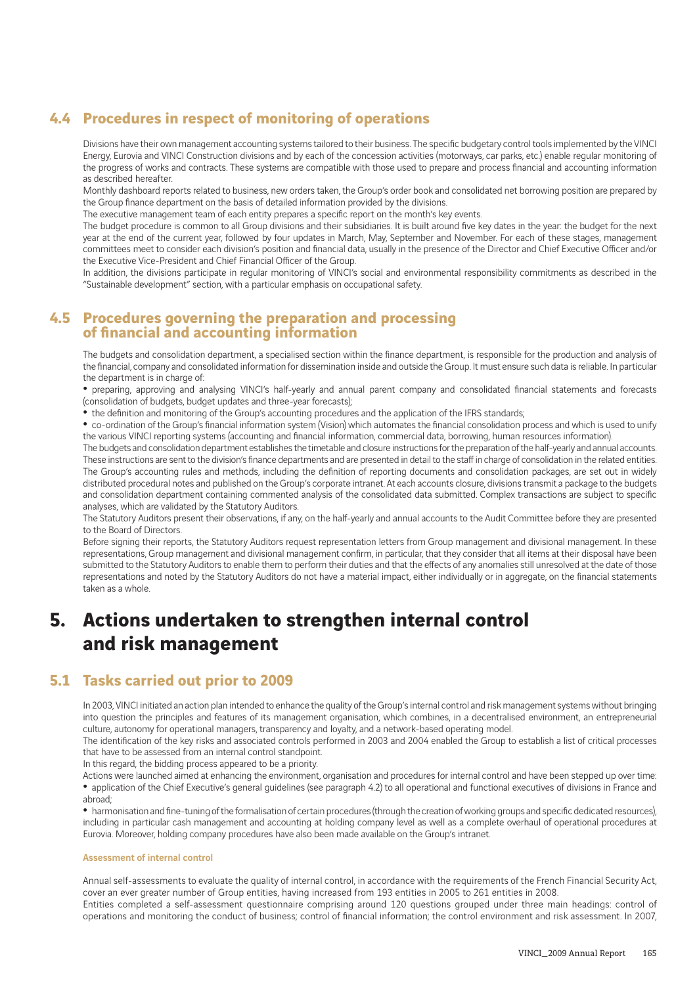## **4.4 Procedures in respect of monitoring of operations**

Divisions have their own management accounting systems tailored to their business. The specific budgetary control tools implemented by the VINCI Energy, Eurovia and VINCI Construction divisions and by each of the concession activities (motorways, car parks, etc.) enable regular monitoring of the progress of works and contracts. These systems are compatible with those used to prepare and process financial and accounting information as described hereafter.

Monthly dashboard reports related to business, new orders taken, the Group's order book and consolidated net borrowing position are prepared by the Group finance department on the basis of detailed information provided by the divisions.

The executive management team of each entity prepares a specific report on the month's key events.

The budget procedure is common to all Group divisions and their subsidiaries. It is built around five key dates in the year: the budget for the next year at the end of the current year, followed by four updates in March, May, September and November. For each of these stages, management committees meet to consider each division's position and financial data, usually in the presence of the Director and Chief Executive Officer and/or the Executive Vice-President and Chief Financial Officer of the Group.

In addition, the divisions participate in regular monitoring of VINCI's social and environmental responsibility commitments as described in the "Sustainable development" section, with a particular emphasis on occupational safety.

### **4.5 Procedures governing the preparation and processing of financial and accounting information**

The budgets and consolidation department, a specialised section within the finance department, is responsible for the production and analysis of the financial, company and consolidated information for dissemination inside and outside the Group. It must ensure such data is reliable. In particular the department is in charge of:

• preparing, approving and analysing VINCI's half-yearly and annual parent company and consolidated financial statements and forecasts (consolidation of budgets, budget updates and three-year forecasts);

• the definition and monitoring of the Group's accounting procedures and the application of the IFRS standards;

• co-ordination of the Group's financial information system (Vision) which automates the financial consolidation process and which is used to unify the various VINCI reporting systems (accounting and financial information, commercial data, borrowing, human resources information).

The budgets and consolidation department establishes the timetable and closure instructions for the preparation of the half-yearly and annual accounts. These instructions are sent to the division's finance departments and are presented in detail to the staff in charge of consolidation in the related entities. The Group's accounting rules and methods, including the definition of reporting documents and consolidation packages, are set out in widely distributed procedural notes and published on the Group's corporate intranet. At each accounts closure, divisions transmit a package to the budgets and consolidation department containing commented analysis of the consolidated data submitted. Complex transactions are subject to specific analyses, which are validated by the Statutory Auditors.

The Statutory Auditors present their observations, if any, on the half-yearly and annual accounts to the Audit Committee before they are presented to the Board of Directors.

Before signing their reports, the Statutory Auditors request representation letters from Group management and divisional management. In these representations, Group management and divisional management confirm, in particular, that they consider that all items at their disposal have been submitted to the Statutory Auditors to enable them to perform their duties and that the effects of any anomalies still unresolved at the date of those representations and noted by the Statutory Auditors do not have a material impact, either individually or in aggregate, on the financial statements taken as a whole.

# **5. Actions undertaken to strengthen internal control and risk management**

### **5.1 Tasks carried out prior to 2009**

In 2003, VINCI initiated an action plan intended to enhance the quality of the Group's internal control and risk management systems without bringing into question the principles and features of its management organisation, which combines, in a decentralised environment, an entrepreneurial culture, autonomy for operational managers, transparency and loyalty, and a network-based operating model.

The identification of the key risks and associated controls performed in 2003 and 2004 enabled the Group to establish a list of critical processes that have to be assessed from an internal control standpoint.

In this regard, the bidding process appeared to be a priority.

Actions were launched aimed at enhancing the environment, organisation and procedures for internal control and have been stepped up over time: • application of the Chief Executive's general guidelines (see paragraph 4.2) to all operational and functional executives of divisions in France and abroad;

• harmonisation and fine-tuning of the formalisation of certain procedures (through the creation of working groups and specific dedicated resources), including in particular cash management and accounting at holding company level as well as a complete overhaul of operational procedures at Eurovia. Moreover, holding company procedures have also been made available on the Group's intranet.

### Assessment of internal control

Annual self-assessments to evaluate the quality of internal control, in accordance with the requirements of the French Financial Security Act, cover an ever greater number of Group entities, having increased from 193 entities in 2005 to 261 entities in 2008.

Entities completed a self-assessment questionnaire comprising around 120 questions grouped under three main headings: control of operations and monitoring the conduct of business; control of financial information; the control environment and risk assessment. In 2007,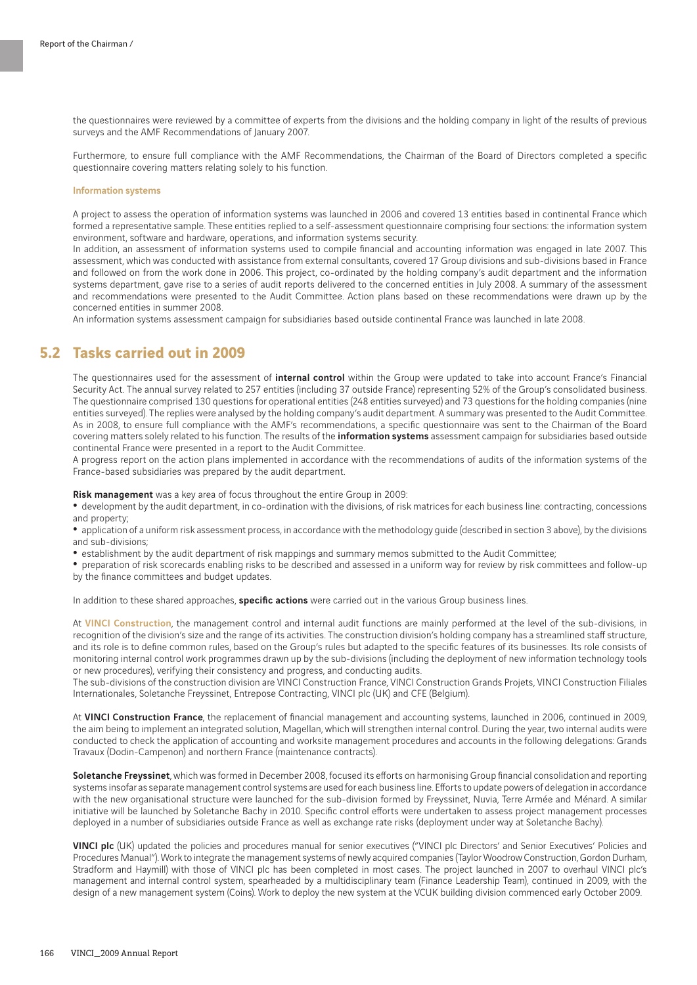the questionnaires were reviewed by a committee of experts from the divisions and the holding company in light of the results of previous surveys and the AMF Recommendations of January 2007.

Furthermore, to ensure full compliance with the AMF Recommendations, the Chairman of the Board of Directors completed a specific questionnaire covering matters relating solely to his function.

#### Information systems

A project to assess the operation of information systems was launched in 2006 and covered 13 entities based in continental France which formed a representative sample. These entities replied to a self-assessment questionnaire comprising four sections: the information system environment, software and hardware, operations, and information systems security.

In addition, an assessment of information systems used to compile financial and accounting information was engaged in late 2007. This assessment, which was conducted with assistance from external consultants, covered 17 Group divisions and sub-divisions based in France and followed on from the work done in 2006. This project, co-ordinated by the holding company's audit department and the information systems department, gave rise to a series of audit reports delivered to the concerned entities in July 2008. A summary of the assessment and recommendations were presented to the Audit Committee. Action plans based on these recommendations were drawn up by the concerned entities in summer 2008.

An information systems assessment campaign for subsidiaries based outside continental France was launched in late 2008.

### **5.2 Tasks carried out in 2009**

The questionnaires used for the assessment of internal control within the Group were updated to take into account France's Financial Security Act. The annual survey related to 257 entities (including 37 outside France) representing 52% of the Group's consolidated business. The questionnaire comprised 130 questions for operational entities (248 entities surveyed) and 73 questions for the holding companies (nine entities surveyed). The replies were analysed by the holding company's audit department. A summary was presented to the Audit Committee. As in 2008, to ensure full compliance with the AMF's recommendations, a specific questionnaire was sent to the Chairman of the Board covering matters solely related to his function. The results of the *information systems* assessment campaign for subsidiaries based outside continental France were presented in a report to the Audit Committee.

A progress report on the action plans implemented in accordance with the recommendations of audits of the information systems of the France-based subsidiaries was prepared by the audit department.

Risk management was a key area of focus throughout the entire Group in 2009:

• development by the audit department, in co-ordination with the divisions, of risk matrices for each business line: contracting, concessions and property;

• application of a uniform risk assessment process, in accordance with the methodology guide (described in section 3 above), by the divisions and sub-divisions;

• establishment by the audit department of risk mappings and summary memos submitted to the Audit Committee;

• preparation of risk scorecards enabling risks to be described and assessed in a uniform way for review by risk committees and follow-up by the finance committees and budget updates.

In addition to these shared approaches, specific actions were carried out in the various Group business lines.

At VINCI Construction, the management control and internal audit functions are mainly performed at the level of the sub-divisions, in recognition of the division's size and the range of its activities. The construction division's holding company has a streamlined staff structure, and its role is to define common rules, based on the Group's rules but adapted to the specific features of its businesses. Its role consists of monitoring internal control work programmes drawn up by the sub-divisions (including the deployment of new information technology tools or new procedures), verifying their consistency and progress, and conducting audits.

The sub-divisions of the construction division are VINCI Construction France, VINCI Construction Grands Projets, VINCI Construction Filiales Internationales, Soletanche Freyssinet, Entrepose Contracting, VINCI plc (UK) and CFE (Belgium).

At VINCI Construction France, the replacement of financial management and accounting systems, launched in 2006, continued in 2009, the aim being to implement an integrated solution, Magellan, which will strengthen internal control. During the year, two internal audits were conducted to check the application of accounting and worksite management procedures and accounts in the following delegations: Grands Travaux (Dodin-Campenon) and northern France (maintenance contracts).

Soletanche Freyssinet, which was formed in December 2008, focused its efforts on harmonising Group financial consolidation and reporting systems insofar as separate management control systems are used for each business line. Efforts to update powers of delegation in accordance with the new organisational structure were launched for the sub-division formed by Freyssinet, Nuvia, Terre Armée and Ménard. A similar initiative will be launched by Soletanche Bachy in 2010. Specific control efforts were undertaken to assess project management processes deployed in a number of subsidiaries outside France as well as exchange rate risks (deployment under way at Soletanche Bachy).

VINCI plc (UK) updated the policies and procedures manual for senior executives ("VINCI plc Directors' and Senior Executives' Policies and Procedures Manual"). Work to integrate the management systems of newly acquired companies (Taylor Woodrow Construction, Gordon Durham, Stradform and Haymill) with those of VINCI plc has been completed in most cases. The project launched in 2007 to overhaul VINCI plc's management and internal control system, spearheaded by a multidisciplinary team (Finance Leadership Team), continued in 2009, with the design of a new management system (Coins). Work to deploy the new system at the VCUK building division commenced early October 2009.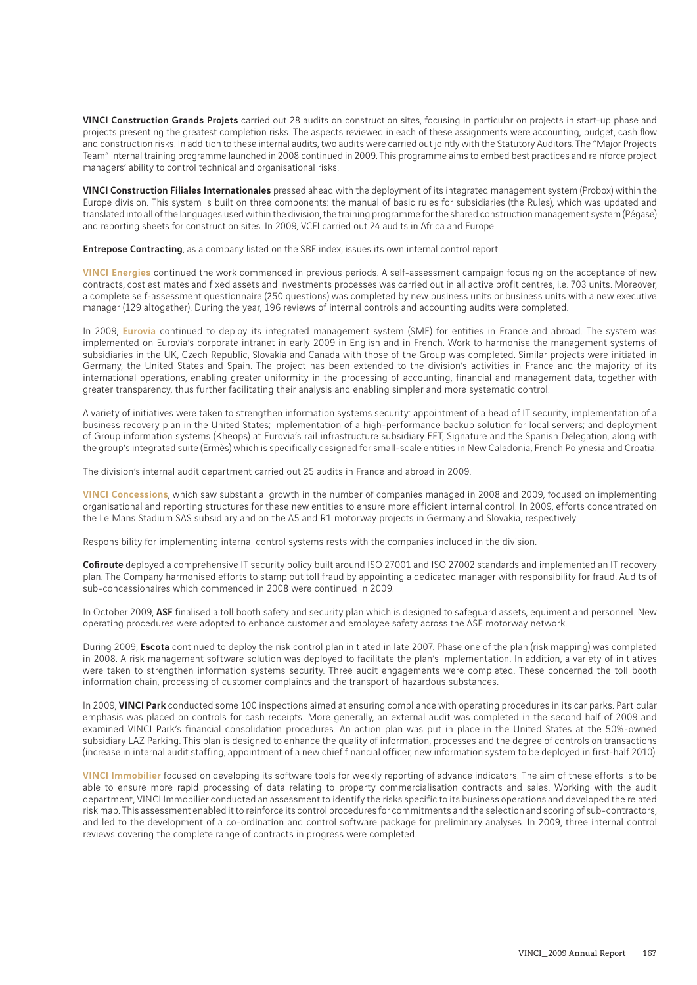VINCI Construction Grands Projets carried out 28 audits on construction sites, focusing in particular on projects in start-up phase and projects presenting the greatest completion risks. The aspects reviewed in each of these assignments were accounting, budget, cash flow and construction risks. In addition to these internal audits, two audits were carried out jointly with the Statutory Auditors. The "Major Projects Team" internal training programme launched in 2008 continued in 2009. This programme aims to embed best practices and reinforce project managers' ability to control technical and organisational risks.

VINCI Construction Filiales Internationales pressed ahead with the deployment of its integrated management system (Probox) within the Europe division. This system is built on three components: the manual of basic rules for subsidiaries (the Rules), which was updated and translated into all of the languages used within the division, the training programme for the shared construction management system (Pégase) and reporting sheets for construction sites. In 2009, VCFI carried out 24 audits in Africa and Europe.

Entrepose Contracting, as a company listed on the SBF index, issues its own internal control report.

VINCI Energies continued the work commenced in previous periods. A self-assessment campaign focusing on the acceptance of new contracts, cost estimates and fixed assets and investments processes was carried out in all active profit centres, i.e. 703 units. Moreover, a complete self-assessment questionnaire (250 questions) was completed by new business units or business units with a new executive manager (129 altogether). During the year, 196 reviews of internal controls and accounting audits were completed.

In 2009, Eurovia continued to deploy its integrated management system (SME) for entities in France and abroad. The system was implemented on Eurovia's corporate intranet in early 2009 in English and in French. Work to harmonise the management systems of subsidiaries in the UK, Czech Republic, Slovakia and Canada with those of the Group was completed. Similar projects were initiated in Germany, the United States and Spain. The project has been extended to the division's activities in France and the majority of its international operations, enabling greater uniformity in the processing of accounting, financial and management data, together with greater transparency, thus further facilitating their analysis and enabling simpler and more systematic control.

A variety of initiatives were taken to strengthen information systems security: appointment of a head of IT security; implementation of a business recovery plan in the United States; implementation of a high-performance backup solution for local servers; and deployment of Group information systems (Kheops) at Eurovia's rail infrastructure subsidiary EFT, Signature and the Spanish Delegation, along with the group's integrated suite (Ermès) which is specifically designed for small-scale entities in New Caledonia, French Polynesia and Croatia.

The division's internal audit department carried out 25 audits in France and abroad in 2009.

VINCI Concessions, which saw substantial growth in the number of companies managed in 2008 and 2009, focused on implementing organisational and reporting structures for these new entities to ensure more efficient internal control. In 2009, efforts concentrated on the Le Mans Stadium SAS subsidiary and on the A5 and R1 motorway projects in Germany and Slovakia, respectively.

Responsibility for implementing internal control systems rests with the companies included in the division.

Cofiroute deployed a comprehensive IT security policy built around ISO 27001 and ISO 27002 standards and implemented an IT recovery plan. The Company harmonised efforts to stamp out toll fraud by appointing a dedicated manager with responsibility for fraud. Audits of sub-concessionaires which commenced in 2008 were continued in 2009.

In October 2009, ASF finalised a toll booth safety and security plan which is designed to safeguard assets, equiment and personnel. New operating procedures were adopted to enhance customer and employee safety across the ASF motorway network.

During 2009, Escota continued to deploy the risk control plan initiated in late 2007. Phase one of the plan (risk mapping) was completed in 2008. A risk management software solution was deployed to facilitate the plan's implementation. In addition, a variety of initiatives were taken to strengthen information systems security. Three audit engagements were completed. These concerned the toll booth information chain, processing of customer complaints and the transport of hazardous substances.

In 2009, VINCI Park conducted some 100 inspections aimed at ensuring compliance with operating procedures in its car parks. Particular emphasis was placed on controls for cash receipts. More generally, an external audit was completed in the second half of 2009 and examined VINCI Park's financial consolidation procedures. An action plan was put in place in the United States at the 50%-owned subsidiary LAZ Parking. This plan is designed to enhance the quality of information, processes and the degree of controls on transactions (increase in internal audit staffing, appointment of a new chief financial officer, new information system to be deployed in first-half 2010).

VINCI Immobilier focused on developing its software tools for weekly reporting of advance indicators. The aim of these efforts is to be able to ensure more rapid processing of data relating to property commercialisation contracts and sales. Working with the audit department, VINCI Immobilier conducted an assessment to identify the risks specific to its business operations and developed the related risk map. This assessment enabled it to reinforce its control procedures for commitments and the selection and scoring of sub-contractors, and led to the development of a co-ordination and control software package for preliminary analyses. In 2009, three internal control reviews covering the complete range of contracts in progress were completed.